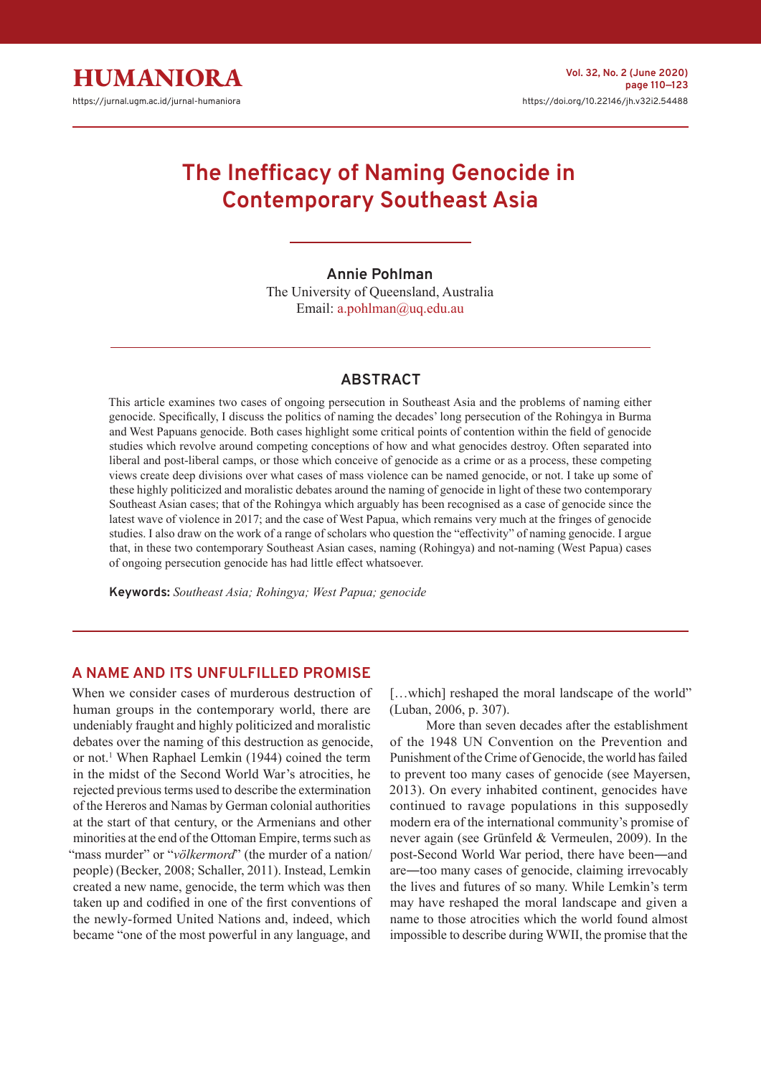

# **The Inefficacy of Naming Genocide in Contemporary Southeast Asia**

**Annie Pohlman** The University of Queensland, Australia Email: a.pohlman@uq.edu.au

## **ABSTRACT**

This article examines two cases of ongoing persecution in Southeast Asia and the problems of naming either genocide. Specifically, I discuss the politics of naming the decades' long persecution of the Rohingya in Burma and West Papuans genocide. Both cases highlight some critical points of contention within the field of genocide studies which revolve around competing conceptions of how and what genocides destroy. Often separated into liberal and post-liberal camps, or those which conceive of genocide as a crime or as a process, these competing views create deep divisions over what cases of mass violence can be named genocide, or not. I take up some of these highly politicized and moralistic debates around the naming of genocide in light of these two contemporary Southeast Asian cases; that of the Rohingya which arguably has been recognised as a case of genocide since the latest wave of violence in 2017; and the case of West Papua, which remains very much at the fringes of genocide studies. I also draw on the work of a range of scholars who question the "effectivity" of naming genocide. I argue that, in these two contemporary Southeast Asian cases, naming (Rohingya) and not-naming (West Papua) cases of ongoing persecution genocide has had little effect whatsoever.

**Keywords:** *Southeast Asia; Rohingya; West Papua; genocide*

# **A NAME AND ITS UNFULFILLED PROMISE**

When we consider cases of murderous destruction of human groups in the contemporary world, there are undeniably fraught and highly politicized and moralistic debates over the naming of this destruction as genocide, or not.<sup>1</sup> When Raphael Lemkin (1944) coined the term in the midst of the Second World War's atrocities, he rejected previous terms used to describe the extermination of the Hereros and Namas by German colonial authorities at the start of that century, or the Armenians and other minorities at the end of the Ottoman Empire, terms such as "mass murder" or "*völkermord*" (the murder of a nation/ people) (Becker, 2008; Schaller, 2011). Instead, Lemkin created a new name, genocide, the term which was then taken up and codified in one of the first conventions of the newly-formed United Nations and, indeed, which became "one of the most powerful in any language, and

[...which] reshaped the moral landscape of the world" (Luban, 2006, p. 307).

More than seven decades after the establishment of the 1948 UN Convention on the Prevention and Punishment of the Crime of Genocide, the world has failed to prevent too many cases of genocide (see Mayersen, 2013). On every inhabited continent, genocides have continued to ravage populations in this supposedly modern era of the international community's promise of never again (see Grünfeld & Vermeulen, 2009). In the post-Second World War period, there have been―and are―too many cases of genocide, claiming irrevocably the lives and futures of so many. While Lemkin's term may have reshaped the moral landscape and given a name to those atrocities which the world found almost impossible to describe during WWII, the promise that the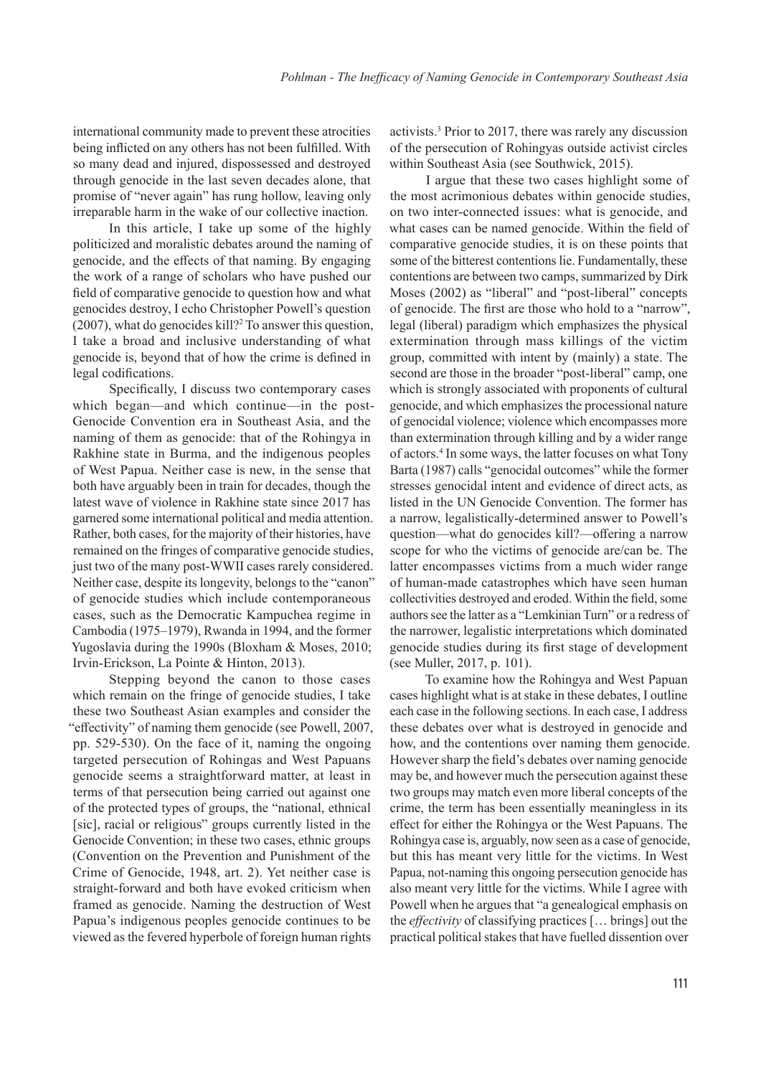international community made to prevent these atrocities being inflicted on any others has not been fulfilled. With so many dead and injured, dispossessed and destroyed through genocide in the last seven decades alone, that promise of "never again" has rung hollow, leaving only irreparable harm in the wake of our collective inaction.

In this article, I take up some of the highly politicized and moralistic debates around the naming of genocide, and the effects of that naming. By engaging the work of a range of scholars who have pushed our field of comparative genocide to question how and what genocides destroy, I echo Christopher Powell's question (2007), what do genocides kill?<sup>2</sup> To answer this question, I take a broad and inclusive understanding of what genocide is, beyond that of how the crime is defined in legal codifications.

Specifically, I discuss two contemporary cases which began—and which continue—in the post-Genocide Convention era in Southeast Asia, and the naming of them as genocide: that of the Rohingya in Rakhine state in Burma, and the indigenous peoples of West Papua. Neither case is new, in the sense that both have arguably been in train for decades, though the latest wave of violence in Rakhine state since 2017 has garnered some international political and media attention. Rather, both cases, for the majority of their histories, have remained on the fringes of comparative genocide studies, just two of the many post-WWII cases rarely considered. Neither case, despite its longevity, belongs to the "canon" of genocide studies which include contemporaneous cases, such as the Democratic Kampuchea regime in Cambodia (1975–1979), Rwanda in 1994, and the former Yugoslavia during the 1990s (Bloxham & Moses, 2010; Irvin-Erickson, La Pointe & Hinton, 2013).

Stepping beyond the canon to those cases which remain on the fringe of genocide studies, I take these two Southeast Asian examples and consider the "effectivity" of naming them genocide (see Powell, 2007, pp. 529-530). On the face of it, naming the ongoing targeted persecution of Rohingas and West Papuans genocide seems a straightforward matter, at least in terms of that persecution being carried out against one of the protected types of groups, the "national, ethnical [sic], racial or religious" groups currently listed in the Genocide Convention; in these two cases, ethnic groups (Convention on the Prevention and Punishment of the Crime of Genocide, 1948, art. 2). Yet neither case is straight-forward and both have evoked criticism when framed as genocide. Naming the destruction of West Papua's indigenous peoples genocide continues to be viewed as the fevered hyperbole of foreign human rights

activists.<sup>3</sup> Prior to 2017, there was rarely any discussion of the persecution of Rohingyas outside activist circles within Southeast Asia (see Southwick, 2015).

I argue that these two cases highlight some of the most acrimonious debates within genocide studies, on two inter-connected issues: what is genocide, and what cases can be named genocide. Within the field of comparative genocide studies, it is on these points that some of the bitterest contentions lie. Fundamentally, these contentions are between two camps, summarized by Dirk Moses (2002) as "liberal" and "post-liberal" concepts of genocide. The first are those who hold to a "narrow", legal (liberal) paradigm which emphasizes the physical extermination through mass killings of the victim group, committed with intent by (mainly) a state. The second are those in the broader "post-liberal" camp, one which is strongly associated with proponents of cultural genocide, and which emphasizes the processional nature of genocidal violence; violence which encompasses more than extermination through killing and by a wider range of actors.<sup>4</sup> In some ways, the latter focuses on what Tony Barta (1987) calls "genocidal outcomes" while the former stresses genocidal intent and evidence of direct acts, as listed in the UN Genocide Convention. The former has a narrow, legalistically-determined answer to Powell's question—what do genocides kill?—offering a narrow scope for who the victims of genocide are/can be. The latter encompasses victims from a much wider range of human-made catastrophes which have seen human collectivities destroyed and eroded. Within the field, some authors see the latter as a "Lemkinian Turn" or a redress of the narrower, legalistic interpretations which dominated genocide studies during its first stage of development (see Muller, 2017, p. 101).

To examine how the Rohingya and West Papuan cases highlight what is at stake in these debates, I outline each case in the following sections. In each case, I address these debates over what is destroyed in genocide and how, and the contentions over naming them genocide. However sharp the field's debates over naming genocide may be, and however much the persecution against these two groups may match even more liberal concepts of the crime, the term has been essentially meaningless in its effect for either the Rohingya or the West Papuans. The Rohingya case is, arguably, now seen as a case of genocide, but this has meant very little for the victims. In West Papua, not-naming this ongoing persecution genocide has also meant very little for the victims. While I agree with Powell when he argues that "a genealogical emphasis on the *effectivity* of classifying practices [… brings] out the practical political stakes that have fuelled dissention over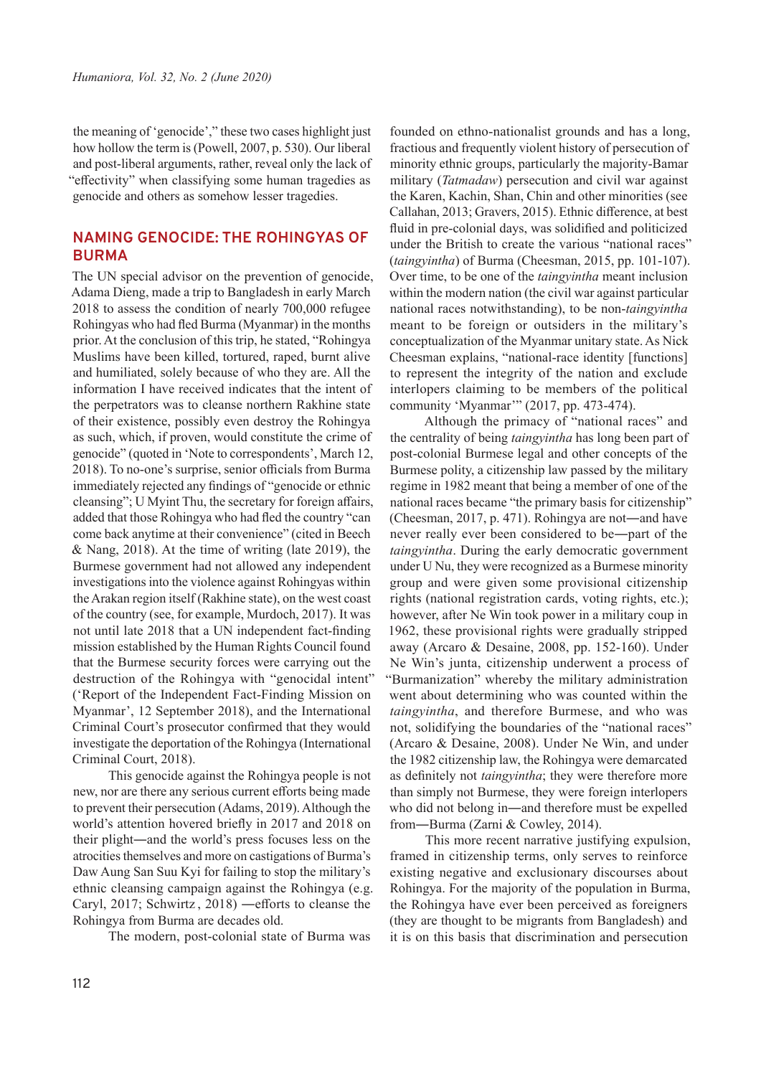the meaning of 'genocide'," these two cases highlight just how hollow the term is (Powell, 2007, p. 530). Our liberal and post-liberal arguments, rather, reveal only the lack of "effectivity" when classifying some human tragedies as genocide and others as somehow lesser tragedies.

# **NAMING GENOCIDE: THE ROHINGYAS OF BURMA**

The UN special advisor on the prevention of genocide, Adama Dieng, made a trip to Bangladesh in early March 2018 to assess the condition of nearly 700,000 refugee Rohingyas who had fled Burma (Myanmar) in the months prior. At the conclusion of this trip, he stated, "Rohingya Muslims have been killed, tortured, raped, burnt alive and humiliated, solely because of who they are. All the information I have received indicates that the intent of the perpetrators was to cleanse northern Rakhine state of their existence, possibly even destroy the Rohingya as such, which, if proven, would constitute the crime of genocide" (quoted in 'Note to correspondents', March 12, 2018). To no-one's surprise, senior officials from Burma immediately rejected any findings of "genocide or ethnic cleansing"; U Myint Thu, the secretary for foreign affairs, added that those Rohingya who had fled the country "can come back anytime at their convenience" (cited in Beech & Nang, 2018). At the time of writing (late 2019), the Burmese government had not allowed any independent investigations into the violence against Rohingyas within the Arakan region itself (Rakhine state), on the west coast of the country (see, for example, Murdoch, 2017). It was not until late 2018 that a UN independent fact-finding mission established by the Human Rights Council found that the Burmese security forces were carrying out the destruction of the Rohingya with "genocidal intent" ('Report of the Independent Fact-Finding Mission on Myanmar', 12 September 2018), and the International Criminal Court's prosecutor confirmed that they would investigate the deportation of the Rohingya (International Criminal Court, 2018).

This genocide against the Rohingya people is not new, nor are there any serious current efforts being made to prevent their persecution (Adams, 2019). Although the world's attention hovered briefly in 2017 and 2018 on their plight―and the world's press focuses less on the atrocities themselves and more on castigations of Burma's Daw Aung San Suu Kyi for failing to stop the military's ethnic cleansing campaign against the Rohingya (e.g. Caryl, 2017; Schwirtz , 2018) ―efforts to cleanse the Rohingya from Burma are decades old.

The modern, post-colonial state of Burma was

founded on ethno-nationalist grounds and has a long, fractious and frequently violent history of persecution of minority ethnic groups, particularly the majority-Bamar military (*Tatmadaw*) persecution and civil war against the Karen, Kachin, Shan, Chin and other minorities (see Callahan, 2013; Gravers, 2015). Ethnic difference, at best fluid in pre-colonial days, was solidified and politicized under the British to create the various "national races" (*taingyintha*) of Burma (Cheesman, 2015, pp. 101-107). Over time, to be one of the *taingyintha* meant inclusion within the modern nation (the civil war against particular national races notwithstanding), to be non-*taingyintha*  meant to be foreign or outsiders in the military's conceptualization of the Myanmar unitary state. As Nick Cheesman explains, "national-race identity [functions] to represent the integrity of the nation and exclude interlopers claiming to be members of the political community 'Myanmar'" (2017, pp. 473-474).

Although the primacy of "national races" and the centrality of being *taingyintha* has long been part of post-colonial Burmese legal and other concepts of the Burmese polity, a citizenship law passed by the military regime in 1982 meant that being a member of one of the national races became "the primary basis for citizenship" (Cheesman, 2017, p. 471). Rohingya are not―and have never really ever been considered to be―part of the *taingyintha*. During the early democratic government under U Nu, they were recognized as a Burmese minority group and were given some provisional citizenship rights (national registration cards, voting rights, etc.); however, after Ne Win took power in a military coup in 1962, these provisional rights were gradually stripped away (Arcaro & Desaine, 2008, pp. 152-160). Under Ne Win's junta, citizenship underwent a process of "Burmanization" whereby the military administration went about determining who was counted within the *taingyintha*, and therefore Burmese, and who was not, solidifying the boundaries of the "national races" (Arcaro & Desaine, 2008). Under Ne Win, and under the 1982 citizenship law, the Rohingya were demarcated as definitely not *taingyintha*; they were therefore more than simply not Burmese, they were foreign interlopers who did not belong in―and therefore must be expelled from―Burma (Zarni & Cowley, 2014).

This more recent narrative justifying expulsion, framed in citizenship terms, only serves to reinforce existing negative and exclusionary discourses about Rohingya. For the majority of the population in Burma, the Rohingya have ever been perceived as foreigners (they are thought to be migrants from Bangladesh) and it is on this basis that discrimination and persecution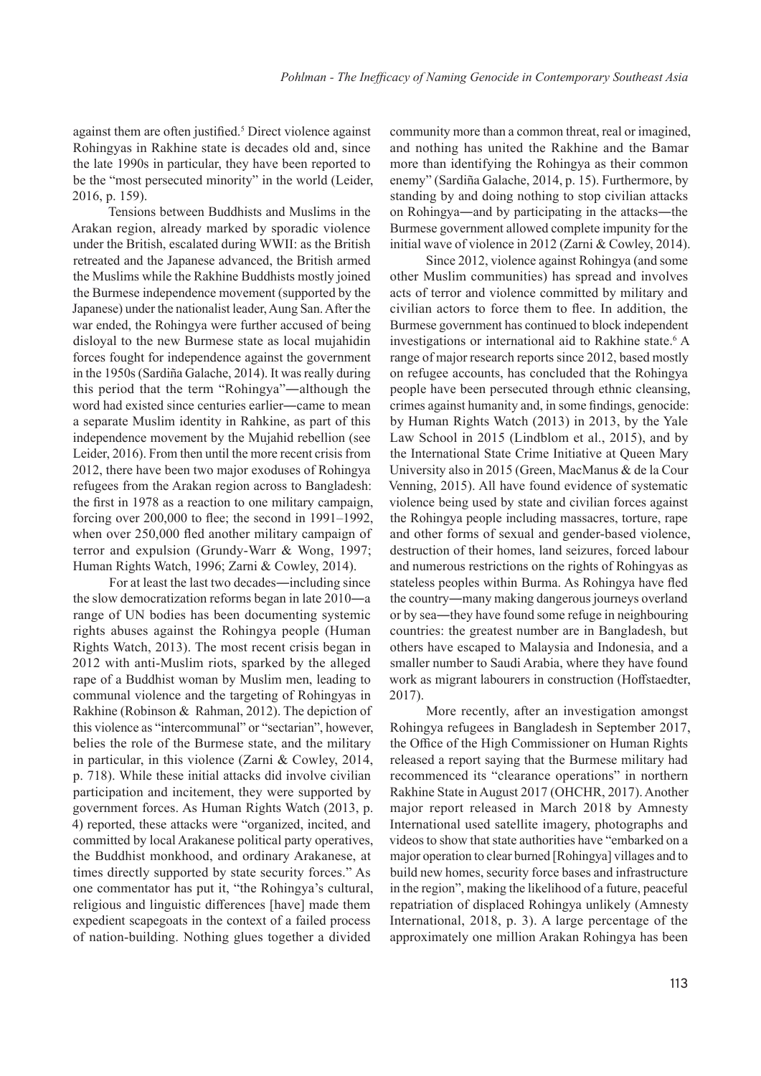against them are often justified.<sup>5</sup> Direct violence against Rohingyas in Rakhine state is decades old and, since the late 1990s in particular, they have been reported to be the "most persecuted minority" in the world (Leider, 2016, p. 159).

Tensions between Buddhists and Muslims in the Arakan region, already marked by sporadic violence under the British, escalated during WWII: as the British retreated and the Japanese advanced, the British armed the Muslims while the Rakhine Buddhists mostly joined the Burmese independence movement (supported by the Japanese) under the nationalist leader, Aung San. After the war ended, the Rohingya were further accused of being disloyal to the new Burmese state as local mujahidin forces fought for independence against the government in the 1950s (Sardiña Galache, 2014). It was really during this period that the term "Rohingya"―although the word had existed since centuries earlier―came to mean a separate Muslim identity in Rahkine, as part of this independence movement by the Mujahid rebellion (see Leider, 2016). From then until the more recent crisis from 2012, there have been two major exoduses of Rohingya refugees from the Arakan region across to Bangladesh: the first in 1978 as a reaction to one military campaign, forcing over 200,000 to flee; the second in 1991–1992, when over 250,000 fled another military campaign of terror and expulsion (Grundy-Warr & Wong, 1997; Human Rights Watch, 1996; Zarni & Cowley, 2014).

For at least the last two decades―including since the slow democratization reforms began in late 2010―a range of UN bodies has been documenting systemic rights abuses against the Rohingya people (Human Rights Watch, 2013). The most recent crisis began in 2012 with anti-Muslim riots, sparked by the alleged rape of a Buddhist woman by Muslim men, leading to communal violence and the targeting of Rohingyas in Rakhine (Robinson & Rahman, 2012). The depiction of this violence as "intercommunal" or "sectarian", however, belies the role of the Burmese state, and the military in particular, in this violence (Zarni & Cowley, 2014, p. 718). While these initial attacks did involve civilian participation and incitement, they were supported by government forces. As Human Rights Watch (2013, p. 4) reported, these attacks were "organized, incited, and committed by local Arakanese political party operatives, the Buddhist monkhood, and ordinary Arakanese, at times directly supported by state security forces." As one commentator has put it, "the Rohingya's cultural, religious and linguistic differences [have] made them expedient scapegoats in the context of a failed process of nation-building. Nothing glues together a divided

community more than a common threat, real or imagined, and nothing has united the Rakhine and the Bamar more than identifying the Rohingya as their common enemy" (Sardiña Galache, 2014, p. 15). Furthermore, by standing by and doing nothing to stop civilian attacks on Rohingya―and by participating in the attacks―the Burmese government allowed complete impunity for the initial wave of violence in 2012 (Zarni & Cowley, 2014).

Since 2012, violence against Rohingya (and some other Muslim communities) has spread and involves acts of terror and violence committed by military and civilian actors to force them to flee. In addition, the Burmese government has continued to block independent investigations or international aid to Rakhine state.<sup>6</sup> A range of major research reports since 2012, based mostly on refugee accounts, has concluded that the Rohingya people have been persecuted through ethnic cleansing, crimes against humanity and, in some findings, genocide: by Human Rights Watch (2013) in 2013, by the Yale Law School in 2015 (Lindblom et al., 2015), and by the International State Crime Initiative at Queen Mary University also in 2015 (Green, MacManus & de la Cour Venning, 2015). All have found evidence of systematic violence being used by state and civilian forces against the Rohingya people including massacres, torture, rape and other forms of sexual and gender-based violence, destruction of their homes, land seizures, forced labour and numerous restrictions on the rights of Rohingyas as stateless peoples within Burma. As Rohingya have fled the country―many making dangerous journeys overland or by sea―they have found some refuge in neighbouring countries: the greatest number are in Bangladesh, but others have escaped to Malaysia and Indonesia, and a smaller number to Saudi Arabia, where they have found work as migrant labourers in construction (Hoffstaedter, 2017).

More recently, after an investigation amongst Rohingya refugees in Bangladesh in September 2017, the Office of the High Commissioner on Human Rights released a report saying that the Burmese military had recommenced its "clearance operations" in northern Rakhine State in August 2017 (OHCHR, 2017). Another major report released in March 2018 by Amnesty International used satellite imagery, photographs and videos to show that state authorities have "embarked on a major operation to clear burned [Rohingya] villages and to build new homes, security force bases and infrastructure in the region", making the likelihood of a future, peaceful repatriation of displaced Rohingya unlikely (Amnesty International, 2018, p. 3). A large percentage of the approximately one million Arakan Rohingya has been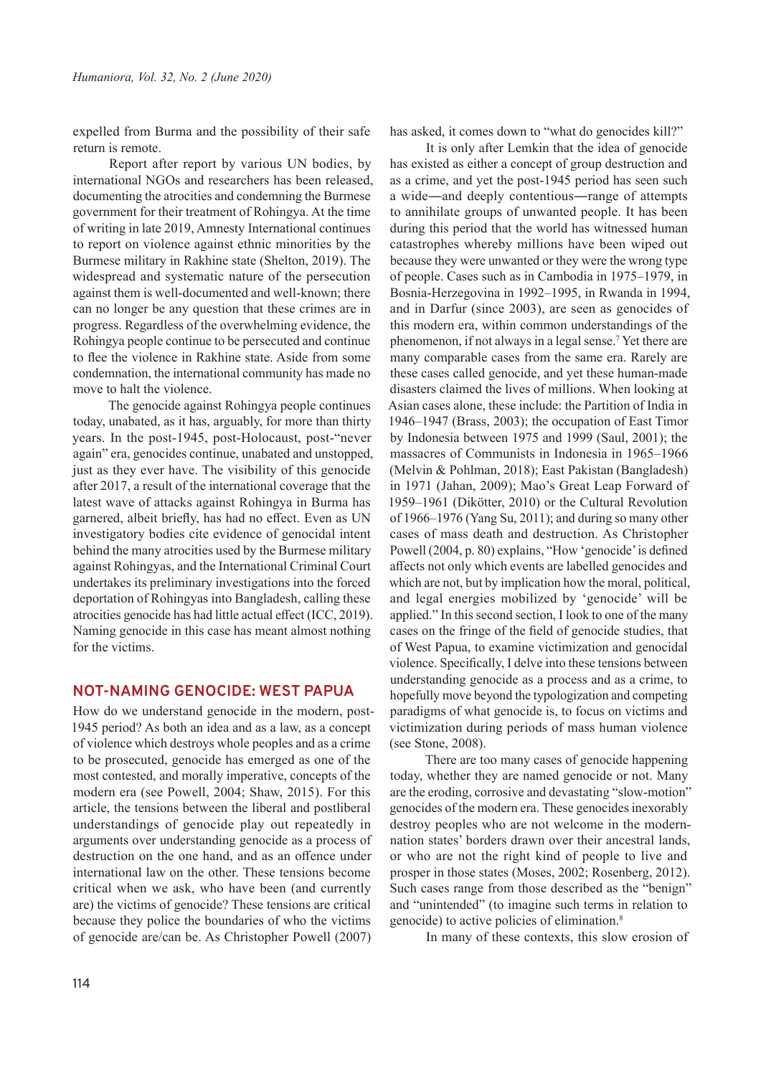expelled from Burma and the possibility of their safe return is remote.

Report after report by various UN bodies, by international NGOs and researchers has been released, documenting the atrocities and condemning the Burmese government for their treatment of Rohingya. At the time of writing in late 2019, Amnesty International continues to report on violence against ethnic minorities by the Burmese military in Rakhine state (Shelton, 2019). The widespread and systematic nature of the persecution against them is well-documented and well-known; there can no longer be any question that these crimes are in progress. Regardless of the overwhelming evidence, the Rohingya people continue to be persecuted and continue to flee the violence in Rakhine state. Aside from some condemnation, the international community has made no move to halt the violence.

The genocide against Rohingya people continues today, unabated, as it has, arguably, for more than thirty years. In the post-1945, post-Holocaust, post-"never again" era, genocides continue, unabated and unstopped, just as they ever have. The visibility of this genocide after 2017, a result of the international coverage that the latest wave of attacks against Rohingya in Burma has garnered, albeit briefly, has had no effect. Even as UN investigatory bodies cite evidence of genocidal intent behind the many atrocities used by the Burmese military against Rohingyas, and the International Criminal Court undertakes its preliminary investigations into the forced deportation of Rohingyas into Bangladesh, calling these atrocities genocide has had little actual effect (ICC, 2019). Naming genocide in this case has meant almost nothing for the victims.

#### **NOT-NAMING GENOCIDE: WEST PAPUA**

How do we understand genocide in the modern, post-1945 period? As both an idea and as a law, as a concept of violence which destroys whole peoples and as a crime to be prosecuted, genocide has emerged as one of the most contested, and morally imperative, concepts of the modern era (see Powell, 2004; Shaw, 2015). For this article, the tensions between the liberal and postliberal understandings of genocide play out repeatedly in arguments over understanding genocide as a process of destruction on the one hand, and as an offence under international law on the other. These tensions become critical when we ask, who have been (and currently are) the victims of genocide? These tensions are critical because they police the boundaries of who the victims of genocide are/can be. As Christopher Powell (2007)

has asked, it comes down to "what do genocides kill?"

It is only after Lemkin that the idea of genocide has existed as either a concept of group destruction and as a crime, and yet the post-1945 period has seen such a wide―and deeply contentious―range of attempts to annihilate groups of unwanted people. It has been during this period that the world has witnessed human catastrophes whereby millions have been wiped out because they were unwanted or they were the wrong type of people. Cases such as in Cambodia in 1975–1979, in Bosnia-Herzegovina in 1992–1995, in Rwanda in 1994, and in Darfur (since 2003), are seen as genocides of this modern era, within common understandings of the phenomenon, if not always in a legal sense.<sup>7</sup> Yet there are many comparable cases from the same era. Rarely are these cases called genocide, and yet these human-made disasters claimed the lives of millions. When looking at Asian cases alone, these include: the Partition of India in 1946–1947 (Brass, 2003); the occupation of East Timor by Indonesia between 1975 and 1999 (Saul, 2001); the massacres of Communists in Indonesia in 1965–1966 (Melvin & Pohlman, 2018); East Pakistan (Bangladesh) in 1971 (Jahan, 2009); Mao's Great Leap Forward of 1959–1961 (Dikötter, 2010) or the Cultural Revolution of 1966–1976 (Yang Su, 2011); and during so many other cases of mass death and destruction. As Christopher Powell (2004, p. 80) explains, "How 'genocide' is defined affects not only which events are labelled genocides and which are not, but by implication how the moral, political, and legal energies mobilized by 'genocide' will be applied." In this second section, I look to one of the many cases on the fringe of the field of genocide studies, that of West Papua, to examine victimization and genocidal violence. Specifically, I delve into these tensions between understanding genocide as a process and as a crime, to hopefully move beyond the typologization and competing paradigms of what genocide is, to focus on victims and victimization during periods of mass human violence (see Stone, 2008).

There are too many cases of genocide happening today, whether they are named genocide or not. Many are the eroding, corrosive and devastating "slow-motion" genocides of the modern era. These genocides inexorably destroy peoples who are not welcome in the modernnation states' borders drawn over their ancestral lands, or who are not the right kind of people to live and prosper in those states (Moses, 2002; Rosenberg, 2012). Such cases range from those described as the "benign" and "unintended" (to imagine such terms in relation to genocide) to active policies of elimination.<sup>8</sup>

In many of these contexts, this slow erosion of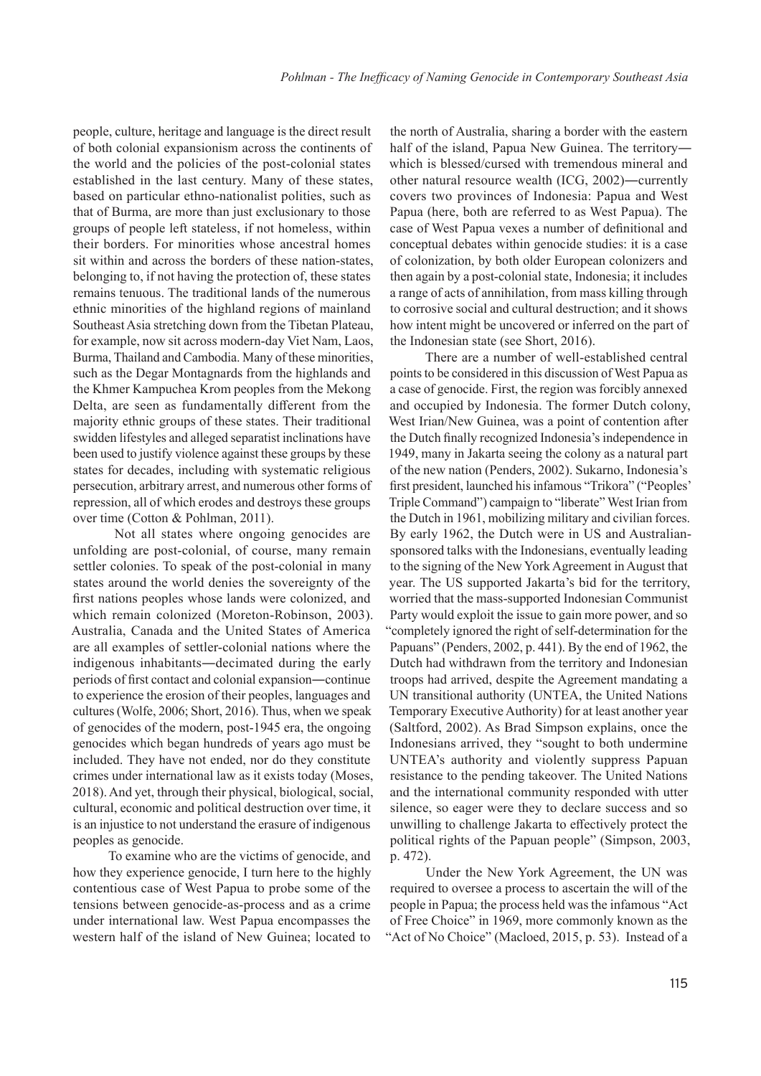people, culture, heritage and language is the direct result of both colonial expansionism across the continents of the world and the policies of the post-colonial states established in the last century. Many of these states, based on particular ethno-nationalist polities, such as that of Burma, are more than just exclusionary to those groups of people left stateless, if not homeless, within their borders. For minorities whose ancestral homes sit within and across the borders of these nation-states, belonging to, if not having the protection of, these states remains tenuous. The traditional lands of the numerous ethnic minorities of the highland regions of mainland Southeast Asia stretching down from the Tibetan Plateau, for example, now sit across modern-day Viet Nam, Laos, Burma, Thailand and Cambodia. Many of these minorities, such as the Degar Montagnards from the highlands and the Khmer Kampuchea Krom peoples from the Mekong Delta, are seen as fundamentally different from the majority ethnic groups of these states. Their traditional swidden lifestyles and alleged separatist inclinations have been used to justify violence against these groups by these states for decades, including with systematic religious persecution, arbitrary arrest, and numerous other forms of repression, all of which erodes and destroys these groups over time (Cotton & Pohlman, 2011).

 Not all states where ongoing genocides are unfolding are post-colonial, of course, many remain settler colonies. To speak of the post-colonial in many states around the world denies the sovereignty of the first nations peoples whose lands were colonized, and which remain colonized (Moreton-Robinson, 2003). Australia, Canada and the United States of America are all examples of settler-colonial nations where the indigenous inhabitants―decimated during the early periods of first contact and colonial expansion―continue to experience the erosion of their peoples, languages and cultures (Wolfe, 2006; Short, 2016). Thus, when we speak of genocides of the modern, post-1945 era, the ongoing genocides which began hundreds of years ago must be included. They have not ended, nor do they constitute crimes under international law as it exists today (Moses, 2018). And yet, through their physical, biological, social, cultural, economic and political destruction over time, it is an injustice to not understand the erasure of indigenous peoples as genocide.

To examine who are the victims of genocide, and how they experience genocide, I turn here to the highly contentious case of West Papua to probe some of the tensions between genocide-as-process and as a crime under international law. West Papua encompasses the western half of the island of New Guinea; located to

the north of Australia, sharing a border with the eastern half of the island, Papua New Guinea. The territory― which is blessed/cursed with tremendous mineral and other natural resource wealth (ICG, 2002)―currently covers two provinces of Indonesia: Papua and West Papua (here, both are referred to as West Papua). The case of West Papua vexes a number of definitional and conceptual debates within genocide studies: it is a case of colonization, by both older European colonizers and then again by a post-colonial state, Indonesia; it includes a range of acts of annihilation, from mass killing through to corrosive social and cultural destruction; and it shows how intent might be uncovered or inferred on the part of the Indonesian state (see Short, 2016).

There are a number of well-established central points to be considered in this discussion of West Papua as a case of genocide. First, the region was forcibly annexed and occupied by Indonesia. The former Dutch colony, West Irian/New Guinea, was a point of contention after the Dutch finally recognized Indonesia's independence in 1949, many in Jakarta seeing the colony as a natural part of the new nation (Penders, 2002). Sukarno, Indonesia's first president, launched his infamous "Trikora" ("Peoples' Triple Command") campaign to "liberate" West Irian from the Dutch in 1961, mobilizing military and civilian forces. By early 1962, the Dutch were in US and Australiansponsored talks with the Indonesians, eventually leading to the signing of the New York Agreement in August that year. The US supported Jakarta's bid for the territory, worried that the mass-supported Indonesian Communist Party would exploit the issue to gain more power, and so "completely ignored the right of self-determination for the Papuans" (Penders, 2002, p. 441). By the end of 1962, the Dutch had withdrawn from the territory and Indonesian troops had arrived, despite the Agreement mandating a UN transitional authority (UNTEA, the United Nations Temporary Executive Authority) for at least another year (Saltford, 2002). As Brad Simpson explains, once the Indonesians arrived, they "sought to both undermine UNTEA's authority and violently suppress Papuan resistance to the pending takeover. The United Nations and the international community responded with utter silence, so eager were they to declare success and so unwilling to challenge Jakarta to effectively protect the political rights of the Papuan people" (Simpson, 2003, p. 472).

Under the New York Agreement, the UN was required to oversee a process to ascertain the will of the people in Papua; the process held was the infamous "Act of Free Choice" in 1969, more commonly known as the "Act of No Choice" (Macloed, 2015, p. 53). Instead of a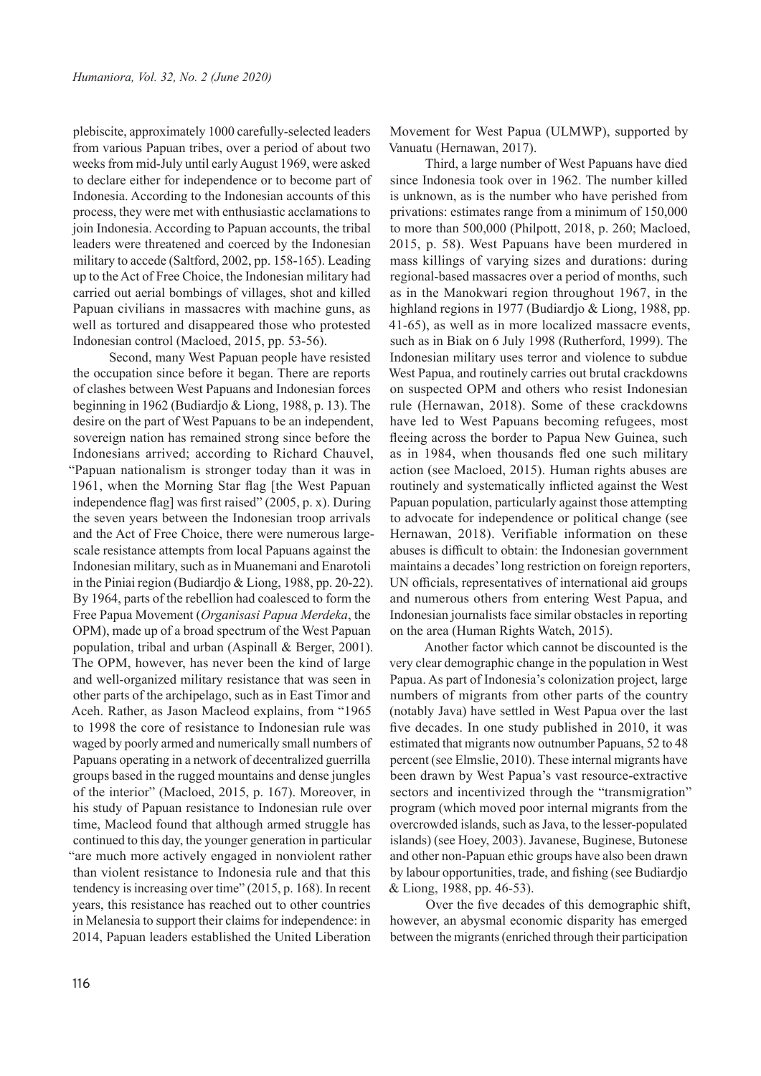plebiscite, approximately 1000 carefully-selected leaders from various Papuan tribes, over a period of about two weeks from mid-July until early August 1969, were asked to declare either for independence or to become part of Indonesia. According to the Indonesian accounts of this process, they were met with enthusiastic acclamations to join Indonesia. According to Papuan accounts, the tribal leaders were threatened and coerced by the Indonesian military to accede (Saltford, 2002, pp. 158-165). Leading up to the Act of Free Choice, the Indonesian military had carried out aerial bombings of villages, shot and killed Papuan civilians in massacres with machine guns, as well as tortured and disappeared those who protested Indonesian control (Macloed, 2015, pp. 53-56).

Second, many West Papuan people have resisted the occupation since before it began. There are reports of clashes between West Papuans and Indonesian forces beginning in 1962 (Budiardjo & Liong, 1988, p. 13). The desire on the part of West Papuans to be an independent, sovereign nation has remained strong since before the Indonesians arrived; according to Richard Chauvel, "Papuan nationalism is stronger today than it was in 1961, when the Morning Star flag [the West Papuan independence flag] was first raised" (2005, p. x). During the seven years between the Indonesian troop arrivals and the Act of Free Choice, there were numerous largescale resistance attempts from local Papuans against the Indonesian military, such as in Muanemani and Enarotoli in the Piniai region (Budiardjo & Liong, 1988, pp. 20-22). By 1964, parts of the rebellion had coalesced to form the Free Papua Movement (*Organisasi Papua Merdeka*, the OPM), made up of a broad spectrum of the West Papuan population, tribal and urban (Aspinall & Berger, 2001). The OPM, however, has never been the kind of large and well-organized military resistance that was seen in other parts of the archipelago, such as in East Timor and Aceh. Rather, as Jason Macleod explains, from "1965 to 1998 the core of resistance to Indonesian rule was waged by poorly armed and numerically small numbers of Papuans operating in a network of decentralized guerrilla groups based in the rugged mountains and dense jungles of the interior" (Macloed, 2015, p. 167). Moreover, in his study of Papuan resistance to Indonesian rule over time, Macleod found that although armed struggle has continued to this day, the younger generation in particular "are much more actively engaged in nonviolent rather than violent resistance to Indonesia rule and that this tendency is increasing over time" (2015, p. 168). In recent years, this resistance has reached out to other countries in Melanesia to support their claims for independence: in 2014, Papuan leaders established the United Liberation

Movement for West Papua (ULMWP), supported by Vanuatu (Hernawan, 2017).

Third, a large number of West Papuans have died since Indonesia took over in 1962. The number killed is unknown, as is the number who have perished from privations: estimates range from a minimum of 150,000 to more than 500,000 (Philpott, 2018, p. 260; Macloed, 2015, p. 58). West Papuans have been murdered in mass killings of varying sizes and durations: during regional-based massacres over a period of months, such as in the Manokwari region throughout 1967, in the highland regions in 1977 (Budiardjo & Liong, 1988, pp. 41-65), as well as in more localized massacre events, such as in Biak on 6 July 1998 (Rutherford, 1999). The Indonesian military uses terror and violence to subdue West Papua, and routinely carries out brutal crackdowns on suspected OPM and others who resist Indonesian rule (Hernawan, 2018). Some of these crackdowns have led to West Papuans becoming refugees, most fleeing across the border to Papua New Guinea, such as in 1984, when thousands fled one such military action (see Macloed, 2015). Human rights abuses are routinely and systematically inflicted against the West Papuan population, particularly against those attempting to advocate for independence or political change (see Hernawan, 2018). Verifiable information on these abuses is difficult to obtain: the Indonesian government maintains a decades' long restriction on foreign reporters, UN officials, representatives of international aid groups and numerous others from entering West Papua, and Indonesian journalists face similar obstacles in reporting on the area (Human Rights Watch, 2015).

Another factor which cannot be discounted is the very clear demographic change in the population in West Papua. As part of Indonesia's colonization project, large numbers of migrants from other parts of the country (notably Java) have settled in West Papua over the last five decades. In one study published in 2010, it was estimated that migrants now outnumber Papuans, 52 to 48 percent (see Elmslie, 2010). These internal migrants have been drawn by West Papua's vast resource-extractive sectors and incentivized through the "transmigration" program (which moved poor internal migrants from the overcrowded islands, such as Java, to the lesser-populated islands) (see Hoey, 2003). Javanese, Buginese, Butonese and other non-Papuan ethic groups have also been drawn by labour opportunities, trade, and fishing (see Budiardjo & Liong, 1988, pp. 46-53).

Over the five decades of this demographic shift, however, an abysmal economic disparity has emerged between the migrants (enriched through their participation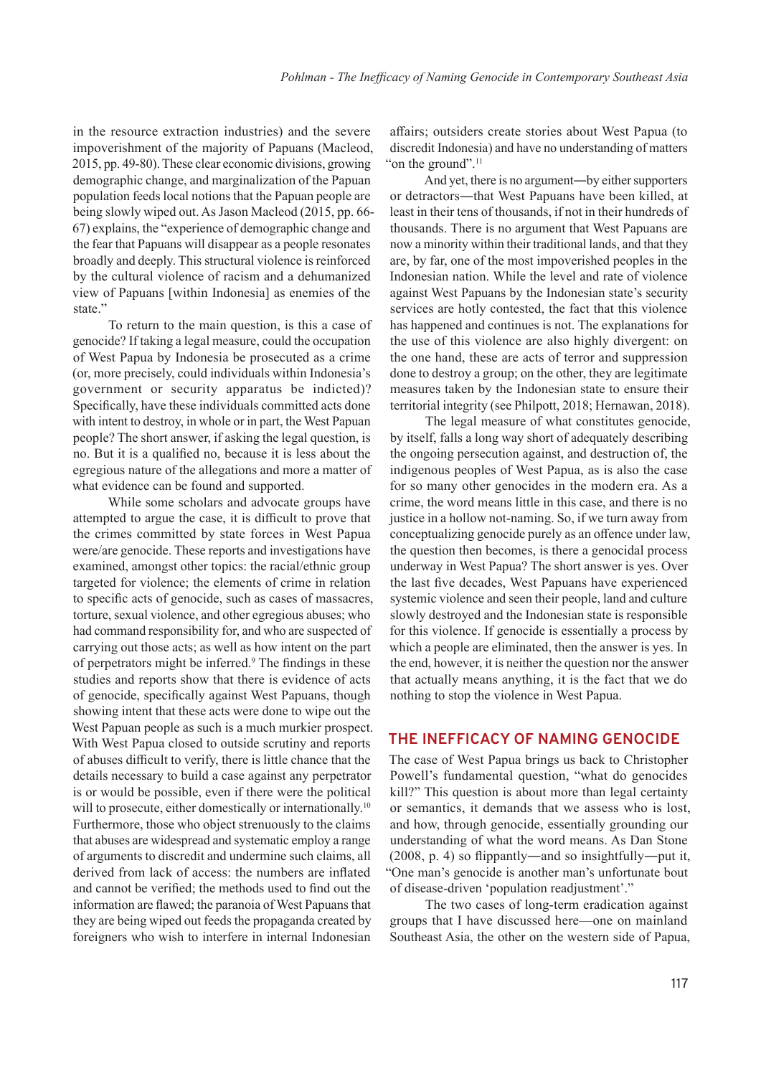in the resource extraction industries) and the severe impoverishment of the majority of Papuans (Macleod, 2015, pp. 49-80). These clear economic divisions, growing demographic change, and marginalization of the Papuan population feeds local notions that the Papuan people are being slowly wiped out. As Jason Macleod (2015, pp. 66- 67) explains, the "experience of demographic change and the fear that Papuans will disappear as a people resonates broadly and deeply. This structural violence is reinforced by the cultural violence of racism and a dehumanized view of Papuans [within Indonesia] as enemies of the state."

To return to the main question, is this a case of genocide? If taking a legal measure, could the occupation of West Papua by Indonesia be prosecuted as a crime (or, more precisely, could individuals within Indonesia's government or security apparatus be indicted)? Specifically, have these individuals committed acts done with intent to destroy, in whole or in part, the West Papuan people? The short answer, if asking the legal question, is no. But it is a qualified no, because it is less about the egregious nature of the allegations and more a matter of what evidence can be found and supported.

While some scholars and advocate groups have attempted to argue the case, it is difficult to prove that the crimes committed by state forces in West Papua were/are genocide. These reports and investigations have examined, amongst other topics: the racial/ethnic group targeted for violence; the elements of crime in relation to specific acts of genocide, such as cases of massacres, torture, sexual violence, and other egregious abuses; who had command responsibility for, and who are suspected of carrying out those acts; as well as how intent on the part of perpetrators might be inferred.<sup>9</sup> The findings in these studies and reports show that there is evidence of acts of genocide, specifically against West Papuans, though showing intent that these acts were done to wipe out the West Papuan people as such is a much murkier prospect. With West Papua closed to outside scrutiny and reports of abuses difficult to verify, there is little chance that the details necessary to build a case against any perpetrator is or would be possible, even if there were the political will to prosecute, either domestically or internationally.<sup>10</sup> Furthermore, those who object strenuously to the claims that abuses are widespread and systematic employ a range of arguments to discredit and undermine such claims, all derived from lack of access: the numbers are inflated and cannot be verified; the methods used to find out the information are flawed; the paranoia of West Papuans that they are being wiped out feeds the propaganda created by foreigners who wish to interfere in internal Indonesian

affairs; outsiders create stories about West Papua (to discredit Indonesia) and have no understanding of matters "on the ground".<sup>11</sup>

And yet, there is no argument―by either supporters or detractors―that West Papuans have been killed, at least in their tens of thousands, if not in their hundreds of thousands. There is no argument that West Papuans are now a minority within their traditional lands, and that they are, by far, one of the most impoverished peoples in the Indonesian nation. While the level and rate of violence against West Papuans by the Indonesian state's security services are hotly contested, the fact that this violence has happened and continues is not. The explanations for the use of this violence are also highly divergent: on the one hand, these are acts of terror and suppression done to destroy a group; on the other, they are legitimate measures taken by the Indonesian state to ensure their territorial integrity (see Philpott, 2018; Hernawan, 2018).

The legal measure of what constitutes genocide, by itself, falls a long way short of adequately describing the ongoing persecution against, and destruction of, the indigenous peoples of West Papua, as is also the case for so many other genocides in the modern era. As a crime, the word means little in this case, and there is no justice in a hollow not-naming. So, if we turn away from conceptualizing genocide purely as an offence under law, the question then becomes, is there a genocidal process underway in West Papua? The short answer is yes. Over the last five decades, West Papuans have experienced systemic violence and seen their people, land and culture slowly destroyed and the Indonesian state is responsible for this violence. If genocide is essentially a process by which a people are eliminated, then the answer is yes. In the end, however, it is neither the question nor the answer that actually means anything, it is the fact that we do nothing to stop the violence in West Papua.

#### **THE INEFFICACY OF NAMING GENOCIDE**

The case of West Papua brings us back to Christopher Powell's fundamental question, "what do genocides kill?" This question is about more than legal certainty or semantics, it demands that we assess who is lost, and how, through genocide, essentially grounding our understanding of what the word means. As Dan Stone (2008, p. 4) so flippantly―and so insightfully―put it, "One man's genocide is another man's unfortunate bout of disease-driven 'population readjustment'."

The two cases of long-term eradication against groups that I have discussed here—one on mainland Southeast Asia, the other on the western side of Papua,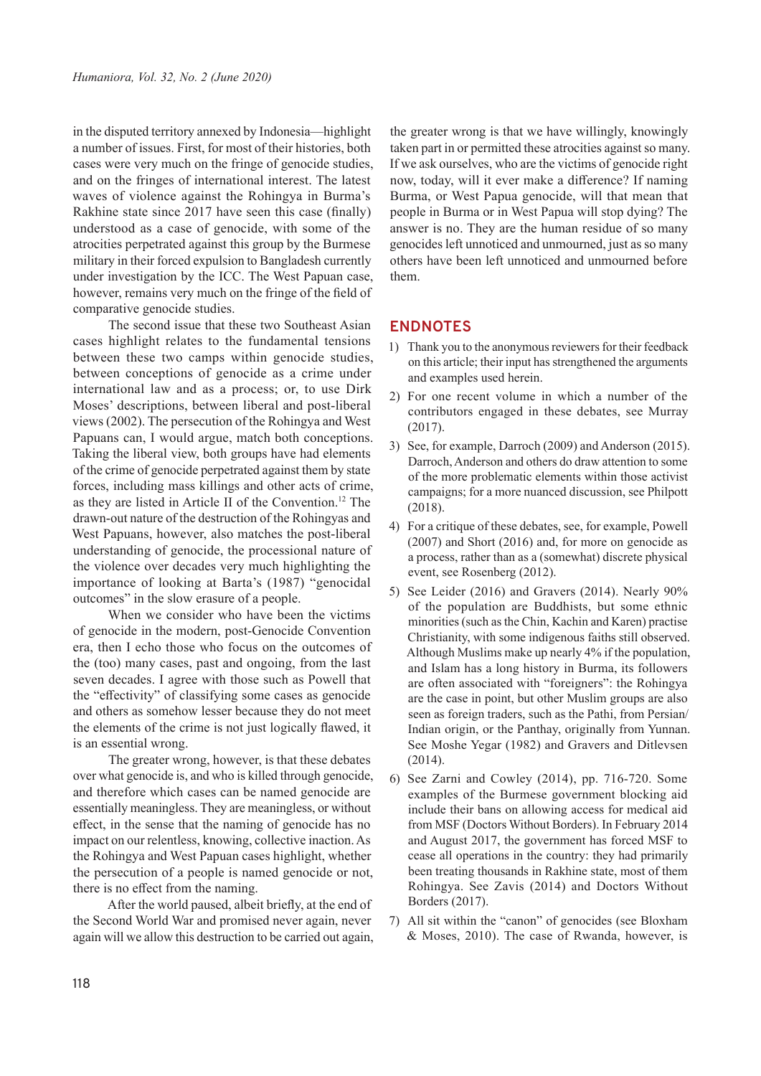in the disputed territory annexed by Indonesia—highlight a number of issues. First, for most of their histories, both cases were very much on the fringe of genocide studies, and on the fringes of international interest. The latest waves of violence against the Rohingya in Burma's Rakhine state since 2017 have seen this case (finally) understood as a case of genocide, with some of the atrocities perpetrated against this group by the Burmese military in their forced expulsion to Bangladesh currently under investigation by the ICC. The West Papuan case, however, remains very much on the fringe of the field of comparative genocide studies.

The second issue that these two Southeast Asian cases highlight relates to the fundamental tensions between these two camps within genocide studies, between conceptions of genocide as a crime under international law and as a process; or, to use Dirk Moses' descriptions, between liberal and post-liberal views (2002). The persecution of the Rohingya and West Papuans can, I would argue, match both conceptions. Taking the liberal view, both groups have had elements of the crime of genocide perpetrated against them by state forces, including mass killings and other acts of crime, as they are listed in Article II of the Convention.<sup>12</sup> The drawn-out nature of the destruction of the Rohingyas and West Papuans, however, also matches the post-liberal understanding of genocide, the processional nature of the violence over decades very much highlighting the importance of looking at Barta's (1987) "genocidal outcomes" in the slow erasure of a people.

When we consider who have been the victims of genocide in the modern, post-Genocide Convention era, then I echo those who focus on the outcomes of the (too) many cases, past and ongoing, from the last seven decades. I agree with those such as Powell that the "effectivity" of classifying some cases as genocide and others as somehow lesser because they do not meet the elements of the crime is not just logically flawed, it is an essential wrong.

The greater wrong, however, is that these debates over what genocide is, and who is killed through genocide, and therefore which cases can be named genocide are essentially meaningless. They are meaningless, or without effect, in the sense that the naming of genocide has no impact on our relentless, knowing, collective inaction. As the Rohingya and West Papuan cases highlight, whether the persecution of a people is named genocide or not, there is no effect from the naming.

After the world paused, albeit briefly, at the end of the Second World War and promised never again, never again will we allow this destruction to be carried out again, the greater wrong is that we have willingly, knowingly taken part in or permitted these atrocities against so many. If we ask ourselves, who are the victims of genocide right now, today, will it ever make a difference? If naming Burma, or West Papua genocide, will that mean that people in Burma or in West Papua will stop dying? The answer is no. They are the human residue of so many genocides left unnoticed and unmourned, just as so many others have been left unnoticed and unmourned before them.

#### **ENDNOTES**

- 1) Thank you to the anonymous reviewers for their feedback on this article; their input has strengthened the arguments and examples used herein.
- 2) For one recent volume in which a number of the contributors engaged in these debates, see Murray (2017).
- 3) See, for example, Darroch (2009) and Anderson (2015). Darroch, Anderson and others do draw attention to some of the more problematic elements within those activist campaigns; for a more nuanced discussion, see Philpott (2018).
- 4) For a critique of these debates, see, for example, Powell (2007) and Short (2016) and, for more on genocide as a process, rather than as a (somewhat) discrete physical event, see Rosenberg (2012).
- 5) See Leider (2016) and Gravers (2014). Nearly 90% of the population are Buddhists, but some ethnic minorities (such as the Chin, Kachin and Karen) practise Christianity, with some indigenous faiths still observed. Although Muslims make up nearly 4% if the population, and Islam has a long history in Burma, its followers are often associated with "foreigners": the Rohingya are the case in point, but other Muslim groups are also seen as foreign traders, such as the Pathi, from Persian/ Indian origin, or the Panthay, originally from Yunnan. See Moshe Yegar (1982) and Gravers and Ditlevsen (2014).
- 6) See Zarni and Cowley (2014), pp. 716-720. Some examples of the Burmese government blocking aid include their bans on allowing access for medical aid from MSF (Doctors Without Borders). In February 2014 and August 2017, the government has forced MSF to cease all operations in the country: they had primarily been treating thousands in Rakhine state, most of them Rohingya. See Zavis (2014) and Doctors Without Borders (2017).
- 7) All sit within the "canon" of genocides (see Bloxham & Moses, 2010). The case of Rwanda, however, is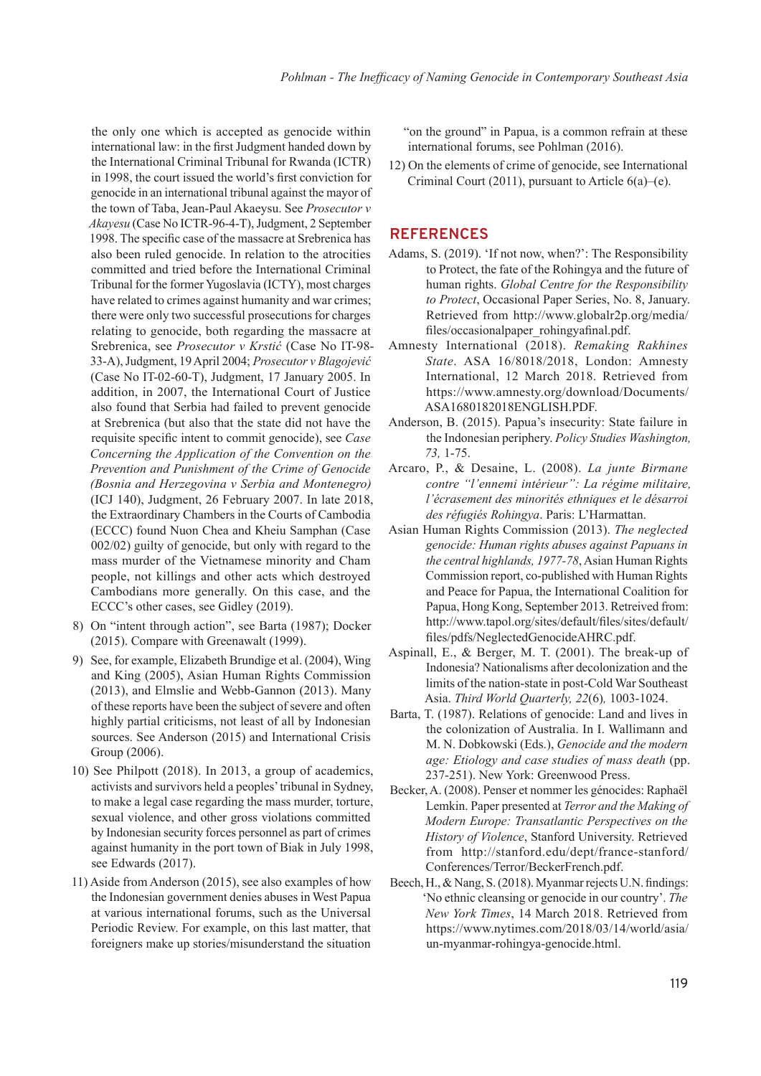the only one which is accepted as genocide within international law: in the first Judgment handed down by the International Criminal Tribunal for Rwanda (ICTR) in 1998, the court issued the world's first conviction for genocide in an international tribunal against the mayor of the town of Taba, Jean-Paul Akaeysu. See *Prosecutor v Akayesu* (Case No ICTR-96-4-T), Judgment, 2 September 1998. The specific case of the massacre at Srebrenica has also been ruled genocide. In relation to the atrocities committed and tried before the International Criminal Tribunal for the former Yugoslavia (ICTY), most charges have related to crimes against humanity and war crimes; there were only two successful prosecutions for charges relating to genocide, both regarding the massacre at Srebrenica, see *Prosecutor v Krstić* (Case No IT-98- 33-A), Judgment, 19 April 2004; *Prosecutor v Blagojević* (Case No IT-02-60-T), Judgment, 17 January 2005. In addition, in 2007, the International Court of Justice also found that Serbia had failed to prevent genocide at Srebrenica (but also that the state did not have the requisite specific intent to commit genocide), see *Case Concerning the Application of the Convention on the Prevention and Punishment of the Crime of Genocide (Bosnia and Herzegovina v Serbia and Montenegro)* (ICJ 140), Judgment, 26 February 2007. In late 2018, the Extraordinary Chambers in the Courts of Cambodia (ECCC) found Nuon Chea and Kheiu Samphan (Case 002/02) guilty of genocide, but only with regard to the mass murder of the Vietnamese minority and Cham people, not killings and other acts which destroyed Cambodians more generally. On this case, and the ECCC's other cases, see Gidley (2019).

- 8) On "intent through action", see Barta (1987); Docker (2015). Compare with Greenawalt (1999).
- 9) See, for example, Elizabeth Brundige et al. (2004), Wing and King (2005), Asian Human Rights Commission (2013), and Elmslie and Webb-Gannon (2013). Many of these reports have been the subject of severe and often highly partial criticisms, not least of all by Indonesian sources. See Anderson (2015) and International Crisis Group (2006).
- 10) See Philpott (2018). In 2013, a group of academics, activists and survivors held a peoples' tribunal in Sydney, to make a legal case regarding the mass murder, torture, sexual violence, and other gross violations committed by Indonesian security forces personnel as part of crimes against humanity in the port town of Biak in July 1998, see Edwards (2017).
- 11) Aside from Anderson (2015), see also examples of how the Indonesian government denies abuses in West Papua at various international forums, such as the Universal Periodic Review. For example, on this last matter, that foreigners make up stories/misunderstand the situation

"on the ground" in Papua, is a common refrain at these international forums, see Pohlman (2016).

12) On the elements of crime of genocide, see International Criminal Court (2011), pursuant to Article 6(a)–(e).

### **REFERENCES**

- Adams, S. (2019). 'If not now, when?': The Responsibility to Protect, the fate of the Rohingya and the future of human rights. *Global Centre for the Responsibility to Protect*, Occasional Paper Series, No. 8, January. Retrieved from http://www.globalr2p.org/media/ files/occasionalpaper\_rohingyafinal.pdf.
- Amnesty International (2018). *Remaking Rakhines State*. ASA 16/8018/2018, London: Amnesty International, 12 March 2018. Retrieved from https://www.amnesty.org/download/Documents/ ASA1680182018ENGLISH.PDF.
- Anderson, B. (2015). Papua's insecurity: State failure in the Indonesian periphery. *Policy Studies Washington, 73,* 1-75.
- Arcaro, P., & Desaine, L. (2008). *La junte Birmane contre "l'ennemi intérieur": La régime militaire, l'écrasement des minorités ethniques et le désarroi des réfugiés Rohingya*. Paris: L'Harmattan.
- Asian Human Rights Commission (2013). *The neglected genocide: Human rights abuses against Papuans in the central highlands, 1977-78*, Asian Human Rights Commission report, co-published with Human Rights and Peace for Papua, the International Coalition for Papua, Hong Kong, September 2013. Retreived from: http://www.tapol.org/sites/default/files/sites/default/ files/pdfs/NeglectedGenocideAHRC.pdf.
- Aspinall, E., & Berger, M. T. (2001). The break-up of Indonesia? Nationalisms after decolonization and the limits of the nation-state in post-Cold War Southeast Asia. *Third World Quarterly, 22*(6)*,* 1003-1024.
- Barta, T. (1987). Relations of genocide: Land and lives in the colonization of Australia. In I. Wallimann and M. N. Dobkowski (Eds.), *Genocide and the modern age: Etiology and case studies of mass death* (pp. 237-251). New York: Greenwood Press.
- Becker, A. (2008). Penser et nommer les génocides: Raphaël Lemkin. Paper presented at *Terror and the Making of Modern Europe: Transatlantic Perspectives on the History of Violence*, Stanford University. Retrieved from http://stanford.edu/dept/france-stanford/ Conferences/Terror/BeckerFrench.pdf.
- Beech, H., & Nang, S. (2018). Myanmar rejects U.N. findings: 'No ethnic cleansing or genocide in our country'. *The New York Times*, 14 March 2018. Retrieved from https://www.nytimes.com/2018/03/14/world/asia/ un-myanmar-rohingya-genocide.html.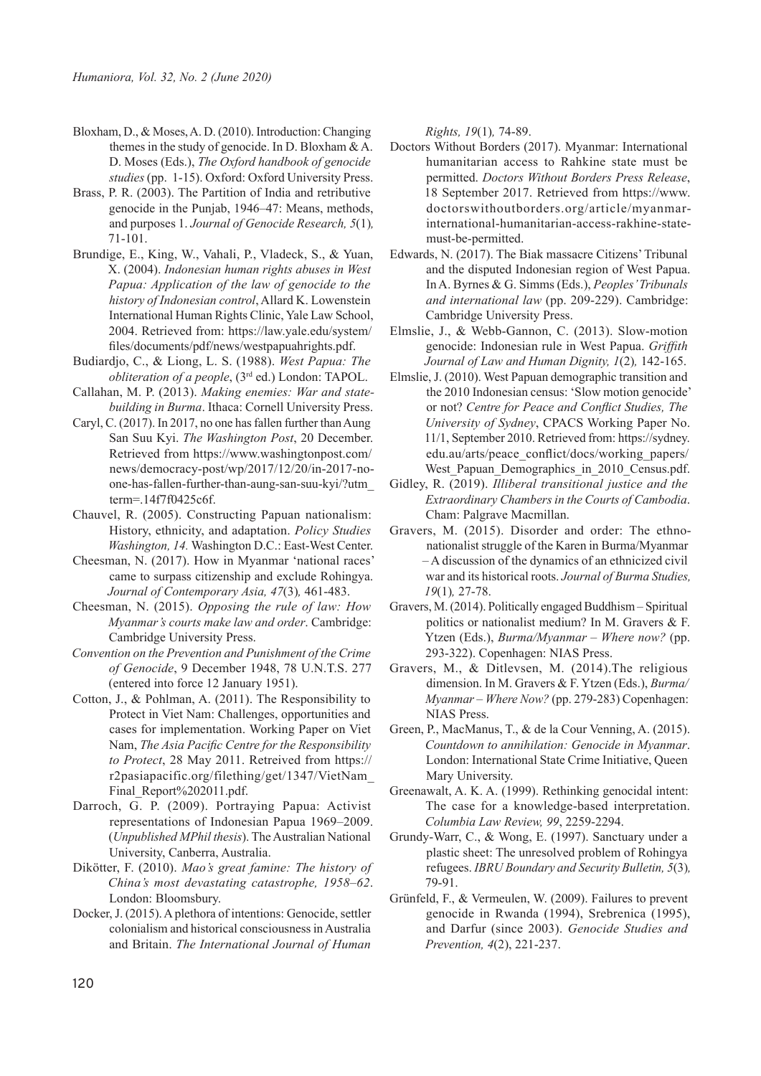- Bloxham, D., & Moses, A. D. (2010). Introduction: Changing themes in the study of genocide. In D. Bloxham & A. D. Moses (Eds.), *The Oxford handbook of genocide studies* (pp. 1-15). Oxford: Oxford University Press.
- Brass, P. R. (2003). The Partition of India and retributive genocide in the Punjab, 1946–47: Means, methods, and purposes 1. *Journal of Genocide Research, 5*(1)*,* 71-101.
- Brundige, E., King, W., Vahali, P., Vladeck, S., & Yuan, X. (2004). *Indonesian human rights abuses in West Papua: Application of the law of genocide to the history of Indonesian control*, Allard K. Lowenstein International Human Rights Clinic, Yale Law School, 2004. Retrieved from: https://law.yale.edu/system/ files/documents/pdf/news/westpapuahrights.pdf.
- Budiardjo, C., & Liong, L. S. (1988). *West Papua: The obliteration of a people*, (3rd ed.) London: TAPOL.
- Callahan, M. P. (2013). *Making enemies: War and statebuilding in Burma*. Ithaca: Cornell University Press.
- Caryl, C. (2017). In 2017, no one has fallen further than Aung San Suu Kyi. *The Washington Post*, 20 December. Retrieved from https://www.washingtonpost.com/ news/democracy-post/wp/2017/12/20/in-2017-noone-has-fallen-further-than-aung-san-suu-kyi/?utm\_ term=.14f7f0425c6f.
- Chauvel, R. (2005). Constructing Papuan nationalism: History, ethnicity, and adaptation. *Policy Studies Washington, 14.* Washington D.C.: East-West Center.
- Cheesman, N. (2017). How in Myanmar 'national races' came to surpass citizenship and exclude Rohingya. *Journal of Contemporary Asia, 47*(3)*,* 461-483.
- Cheesman, N. (2015). *Opposing the rule of law: How Myanmar's courts make law and order*. Cambridge: Cambridge University Press.
- *Convention on the Prevention and Punishment of the Crime of Genocide*, 9 December 1948, 78 U.N.T.S. 277 (entered into force 12 January 1951).
- Cotton, J., & Pohlman, A. (2011). The Responsibility to Protect in Viet Nam: Challenges, opportunities and cases for implementation. Working Paper on Viet Nam, *The Asia Pacific Centre for the Responsibility to Protect*, 28 May 2011. Retreived from https:// r2pasiapacific.org/filething/get/1347/VietNam\_ Final Report%202011.pdf.
- Darroch, G. P. (2009). Portraying Papua: Activist representations of Indonesian Papua 1969–2009. (*Unpublished MPhil thesis*). The Australian National University, Canberra, Australia.
- Dikötter, F. (2010). *Mao's great famine: The history of China's most devastating catastrophe, 1958–62*. London: Bloomsbury.
- Docker, J. (2015). A plethora of intentions: Genocide, settler colonialism and historical consciousness in Australia and Britain. *The International Journal of Human*

*Rights, 19*(1)*,* 74-89.

- Doctors Without Borders (2017). Myanmar: International humanitarian access to Rahkine state must be permitted. *Doctors Without Borders Press Release*, 18 September 2017. Retrieved from https://www. doctorswithoutborders.org/article/myanmarinternational-humanitarian-access-rakhine-statemust-be-permitted.
- Edwards, N. (2017). The Biak massacre Citizens' Tribunal and the disputed Indonesian region of West Papua. In A. Byrnes & G. Simms (Eds.), *Peoples' Tribunals and international law* (pp. 209-229). Cambridge: Cambridge University Press.
- Elmslie, J., & Webb-Gannon, C. (2013). Slow-motion genocide: Indonesian rule in West Papua. *Griffith Journal of Law and Human Dignity, 1*(2)*,* 142-165.
- Elmslie, J. (2010). West Papuan demographic transition and the 2010 Indonesian census: 'Slow motion genocide' or not? *Centre for Peace and Conflict Studies, The University of Sydney*, CPACS Working Paper No. 11/1, September 2010. Retrieved from: https://sydney. edu.au/arts/peace\_conflict/docs/working\_papers/ West Papuan Demographics in 2010 Census.pdf.
- Gidley, R. (2019). *Illiberal transitional justice and the Extraordinary Chambers in the Courts of Cambodia*. Cham: Palgrave Macmillan.
- Gravers, M. (2015). Disorder and order: The ethnonationalist struggle of the Karen in Burma/Myanmar – A discussion of the dynamics of an ethnicized civil war and its historical roots. *Journal of Burma Studies, 19*(1)*,* 27-78.
- Gravers, M. (2014). Politically engaged Buddhism Spiritual politics or nationalist medium? In M. Gravers & F. Ytzen (Eds.), *Burma/Myanmar – Where now?* (pp. 293-322). Copenhagen: NIAS Press.
- Gravers, M., & Ditlevsen, M. (2014).The religious dimension. In M. Gravers & F. Ytzen (Eds.), *Burma/ Myanmar – Where Now?* (pp. 279-283) Copenhagen: NIAS Press.
- Green, P., MacManus, T., & de la Cour Venning, A. (2015). *Countdown to annihilation: Genocide in Myanmar*. London: International State Crime Initiative, Queen Mary University.
- Greenawalt, A. K. A. (1999). Rethinking genocidal intent: The case for a knowledge-based interpretation. *Columbia Law Review, 99*, 2259-2294.
- Grundy-Warr, C., & Wong, E. (1997). Sanctuary under a plastic sheet: The unresolved problem of Rohingya refugees. *IBRU Boundary and Security Bulletin, 5*(3)*,* 79-91.
- Grünfeld, F., & Vermeulen, W. (2009). Failures to prevent genocide in Rwanda (1994), Srebrenica (1995), and Darfur (since 2003). *Genocide Studies and Prevention, 4*(2), 221-237.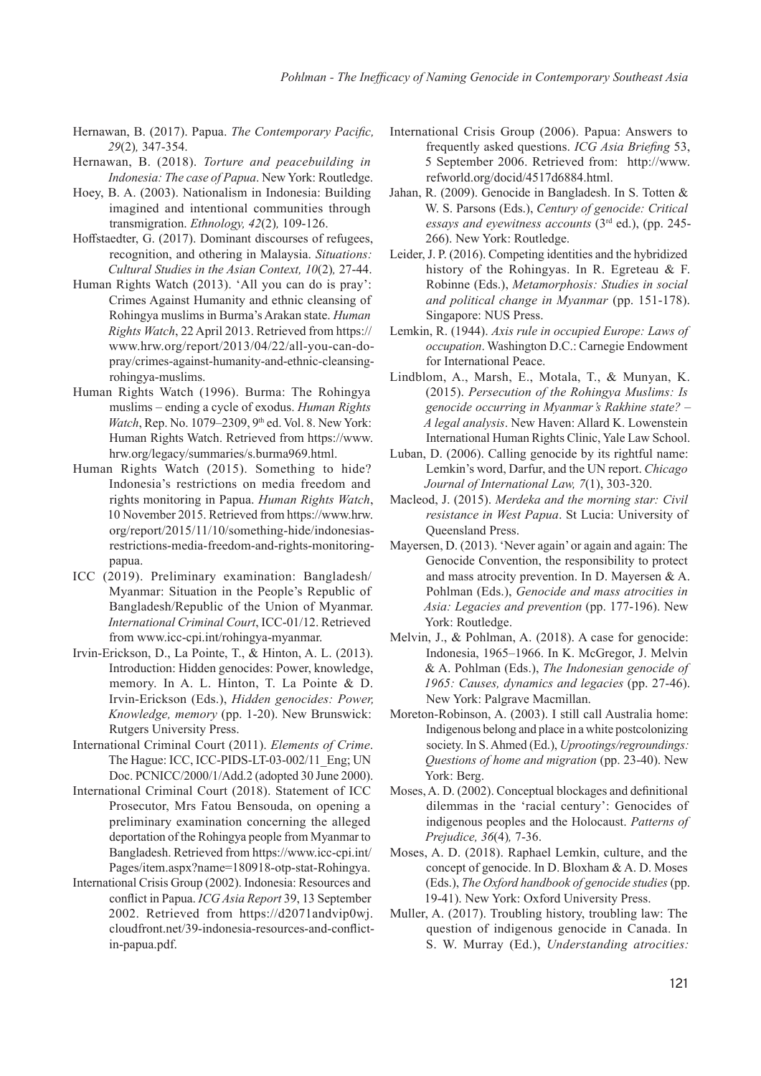- Hernawan, B. (2017). Papua. *The Contemporary Pacific, 29*(2)*,* 347-354.
- Hernawan, B. (2018). *Torture and peacebuilding in Indonesia: The case of Papua*. New York: Routledge.
- Hoey, B. A. (2003). Nationalism in Indonesia: Building imagined and intentional communities through transmigration. *Ethnology, 42*(2)*,* 109-126.
- Hoffstaedter, G. (2017). Dominant discourses of refugees, recognition, and othering in Malaysia. *Situations: Cultural Studies in the Asian Context, 10*(2)*,* 27-44.
- Human Rights Watch (2013). 'All you can do is pray': Crimes Against Humanity and ethnic cleansing of Rohingya muslims in Burma's Arakan state. *Human Rights Watch*, 22 April 2013. Retrieved from https:// www.hrw.org/report/2013/04/22/all-you-can-dopray/crimes-against-humanity-and-ethnic-cleansingrohingya-muslims.
- Human Rights Watch (1996). Burma: The Rohingya muslims – ending a cycle of exodus. *Human Rights*  Watch, Rep. No. 1079-2309, 9th ed. Vol. 8. New York: Human Rights Watch. Retrieved from https://www. hrw.org/legacy/summaries/s.burma969.html.
- Human Rights Watch (2015). Something to hide? Indonesia's restrictions on media freedom and rights monitoring in Papua. *Human Rights Watch*, 10 November 2015. Retrieved from https://www.hrw. org/report/2015/11/10/something-hide/indonesiasrestrictions-media-freedom-and-rights-monitoringpapua.
- ICC (2019). Preliminary examination: Bangladesh/ Myanmar: Situation in the People's Republic of Bangladesh/Republic of the Union of Myanmar. *International Criminal Court*, ICC-01/12. Retrieved from www.icc-cpi.int/rohingya-myanmar.
- Irvin-Erickson, D., La Pointe, T., & Hinton, A. L. (2013). Introduction: Hidden genocides: Power, knowledge, memory. In A. L. Hinton, T. La Pointe & D. Irvin-Erickson (Eds.), *Hidden genocides: Power, Knowledge, memory* (pp. 1-20). New Brunswick: Rutgers University Press.
- International Criminal Court (2011). *Elements of Crime*. The Hague: ICC, ICC-PIDS-LT-03-002/11\_Eng; UN Doc. PCNICC/2000/1/Add.2 (adopted 30 June 2000).
- International Criminal Court (2018). Statement of ICC Prosecutor, Mrs Fatou Bensouda, on opening a preliminary examination concerning the alleged deportation of the Rohingya people from Myanmar to Bangladesh. Retrieved from https://www.icc-cpi.int/ Pages/item.aspx?name=180918-otp-stat-Rohingya.
- International Crisis Group (2002). Indonesia: Resources and conflict in Papua. *ICG Asia Report* 39, 13 September 2002. Retrieved from https://d2071andvip0wj. cloudfront.net/39-indonesia-resources-and-conflictin-papua.pdf.
- International Crisis Group (2006). Papua: Answers to frequently asked questions. *ICG Asia Briefing* 53, 5 September 2006. Retrieved from: http://www. refworld.org/docid/4517d6884.html.
- Jahan, R. (2009). Genocide in Bangladesh. In S. Totten & W. S. Parsons (Eds.), *Century of genocide: Critical essays and eyewitness accounts* (3rd ed.), (pp. 245- 266). New York: Routledge.
- Leider, J. P. (2016). Competing identities and the hybridized history of the Rohingyas. In R. Egreteau & F. Robinne (Eds.), *Metamorphosis: Studies in social and political change in Myanmar* (pp. 151-178). Singapore: NUS Press.
- Lemkin, R. (1944). *Axis rule in occupied Europe: Laws of occupation*. Washington D.C.: Carnegie Endowment for International Peace.
- Lindblom, A., Marsh, E., Motala, T., & Munyan, K. (2015). *Persecution of the Rohingya Muslims: Is genocide occurring in Myanmar's Rakhine state? – A legal analysis*. New Haven: Allard K. Lowenstein International Human Rights Clinic, Yale Law School.
- Luban, D. (2006). Calling genocide by its rightful name: Lemkin's word, Darfur, and the UN report. *Chicago Journal of International Law, 7*(1), 303-320.
- Macleod, J. (2015). *Merdeka and the morning star: Civil resistance in West Papua*. St Lucia: University of Queensland Press.
- Mayersen, D. (2013). 'Never again' or again and again: The Genocide Convention, the responsibility to protect and mass atrocity prevention. In D. Mayersen & A. Pohlman (Eds.), *Genocide and mass atrocities in Asia: Legacies and prevention* (pp. 177-196). New York: Routledge.
- Melvin, J., & Pohlman, A. (2018). A case for genocide: Indonesia, 1965–1966. In K. McGregor, J. Melvin & A. Pohlman (Eds.), *The Indonesian genocide of 1965: Causes, dynamics and legacies* (pp. 27-46). New York: Palgrave Macmillan.
- Moreton-Robinson, A. (2003). I still call Australia home: Indigenous belong and place in a white postcolonizing society. In S. Ahmed (Ed.), *Uprootings/regroundings: Questions of home and migration* (pp. 23-40). New York: Berg.
- Moses, A. D. (2002). Conceptual blockages and definitional dilemmas in the 'racial century': Genocides of indigenous peoples and the Holocaust. *Patterns of Prejudice, 36*(4)*,* 7-36.
- Moses, A. D. (2018). Raphael Lemkin, culture, and the concept of genocide. In D. Bloxham & A. D. Moses (Eds.), *The Oxford handbook of genocide studies* (pp. 19-41). New York: Oxford University Press.
- Muller, A. (2017). Troubling history, troubling law: The question of indigenous genocide in Canada. In S. W. Murray (Ed.), *Understanding atrocities:*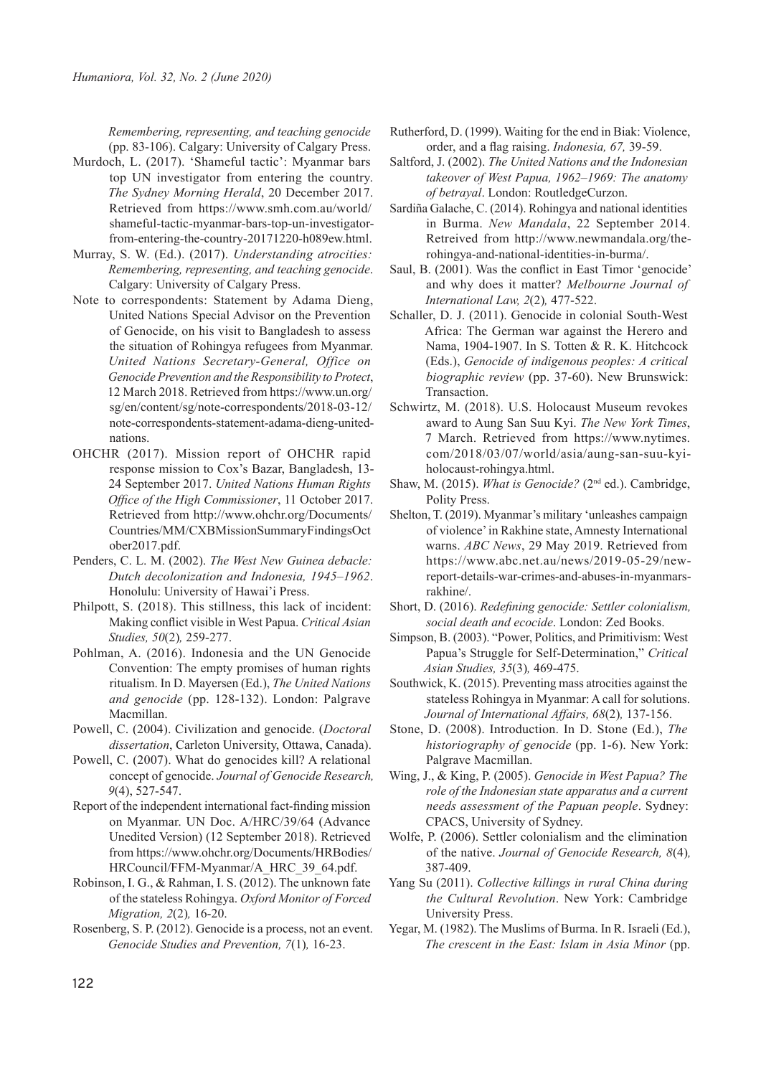*Remembering, representing, and teaching genocide* (pp. 83-106). Calgary: University of Calgary Press.

- Murdoch, L. (2017). 'Shameful tactic': Myanmar bars top UN investigator from entering the country. *The Sydney Morning Herald*, 20 December 2017. Retrieved from https://www.smh.com.au/world/ shameful-tactic-myanmar-bars-top-un-investigatorfrom-entering-the-country-20171220-h089ew.html.
- Murray, S. W. (Ed.). (2017). *Understanding atrocities: Remembering, representing, and teaching genocide*. Calgary: University of Calgary Press.
- Note to correspondents: Statement by Adama Dieng, United Nations Special Advisor on the Prevention of Genocide, on his visit to Bangladesh to assess the situation of Rohingya refugees from Myanmar. *United Nations Secretary-General, Office on Genocide Prevention and the Responsibility to Protect*, 12 March 2018. Retrieved from https://www.un.org/ sg/en/content/sg/note-correspondents/2018-03-12/ note-correspondents-statement-adama-dieng-unitednations.
- OHCHR (2017). Mission report of OHCHR rapid response mission to Cox's Bazar, Bangladesh, 13- 24 September 2017. *United Nations Human Rights Office of the High Commissioner*, 11 October 2017. Retrieved from http://www.ohchr.org/Documents/ Countries/MM/CXBMissionSummaryFindingsOct ober2017.pdf.
- Penders, C. L. M. (2002). *The West New Guinea debacle: Dutch decolonization and Indonesia, 1945–1962*. Honolulu: University of Hawai'i Press.
- Philpott, S. (2018). This stillness, this lack of incident: Making conflict visible in West Papua. *Critical Asian Studies, 50*(2)*,* 259-277.
- Pohlman, A. (2016). Indonesia and the UN Genocide Convention: The empty promises of human rights ritualism. In D. Mayersen (Ed.), *The United Nations and genocide* (pp. 128-132). London: Palgrave Macmillan.
- Powell, C. (2004). Civilization and genocide. (*Doctoral dissertation*, Carleton University, Ottawa, Canada).
- Powell, C. (2007). What do genocides kill? A relational concept of genocide. *Journal of Genocide Research, 9*(4), 527-547.
- Report of the independent international fact-finding mission on Myanmar. UN Doc. A/HRC/39/64 (Advance Unedited Version) (12 September 2018). Retrieved from https://www.ohchr.org/Documents/HRBodies/ HRCouncil/FFM-Myanmar/A\_HRC\_39\_64.pdf.
- Robinson, I. G., & Rahman, I. S. (2012). The unknown fate of the stateless Rohingya. *Oxford Monitor of Forced Migration, 2*(2)*,* 16-20.
- Rosenberg, S. P. (2012). Genocide is a process, not an event. *Genocide Studies and Prevention, 7*(1)*,* 16-23.
- Rutherford, D. (1999). Waiting for the end in Biak: Violence, order, and a flag raising. *Indonesia, 67,* 39-59.
- Saltford, J. (2002). *The United Nations and the Indonesian takeover of West Papua, 1962–1969: The anatomy of betrayal*. London: RoutledgeCurzon.
- Sardiña Galache, C. (2014). Rohingya and national identities in Burma. *New Mandala*, 22 September 2014. Retreived from http://www.newmandala.org/therohingya-and-national-identities-in-burma/.
- Saul, B. (2001). Was the conflict in East Timor 'genocide' and why does it matter? *Melbourne Journal of International Law, 2*(2)*,* 477-522.
- Schaller, D. J. (2011). Genocide in colonial South-West Africa: The German war against the Herero and Nama, 1904-1907. In S. Totten & R. K. Hitchcock (Eds.), *Genocide of indigenous peoples: A critical biographic review* (pp. 37-60). New Brunswick: Transaction.
- Schwirtz, M. (2018). U.S. Holocaust Museum revokes award to Aung San Suu Kyi. *The New York Times*, 7 March. Retrieved from https://www.nytimes. com/2018/03/07/world/asia/aung-san-suu-kyiholocaust-rohingya.html.
- Shaw, M. (2015). *What is Genocide?* (2nd ed.). Cambridge, Polity Press.
- Shelton, T. (2019). Myanmar's military 'unleashes campaign of violence' in Rakhine state, Amnesty International warns. *ABC News*, 29 May 2019. Retrieved from https://www.abc.net.au/news/2019-05-29/newreport-details-war-crimes-and-abuses-in-myanmarsrakhine/.
- Short, D. (2016). *Redefining genocide: Settler colonialism, social death and ecocide*. London: Zed Books.
- Simpson, B. (2003). "Power, Politics, and Primitivism: West Papua's Struggle for Self-Determination," *Critical Asian Studies, 35*(3)*,* 469-475.
- Southwick, K. (2015). Preventing mass atrocities against the stateless Rohingya in Myanmar: A call for solutions. *Journal of International Affairs, 68*(2)*,* 137-156.
- Stone, D. (2008). Introduction. In D. Stone (Ed.), *The historiography of genocide* (pp. 1-6). New York: Palgrave Macmillan.
- Wing, J., & King, P. (2005). *Genocide in West Papua? The role of the Indonesian state apparatus and a current needs assessment of the Papuan people*. Sydney: CPACS, University of Sydney.
- Wolfe, P. (2006). Settler colonialism and the elimination of the native. *Journal of Genocide Research, 8*(4)*,* 387-409.
- Yang Su (2011). *Collective killings in rural China during the Cultural Revolution*. New York: Cambridge University Press.
- Yegar, M. (1982). The Muslims of Burma. In R. Israeli (Ed.), *The crescent in the East: Islam in Asia Minor* (pp.